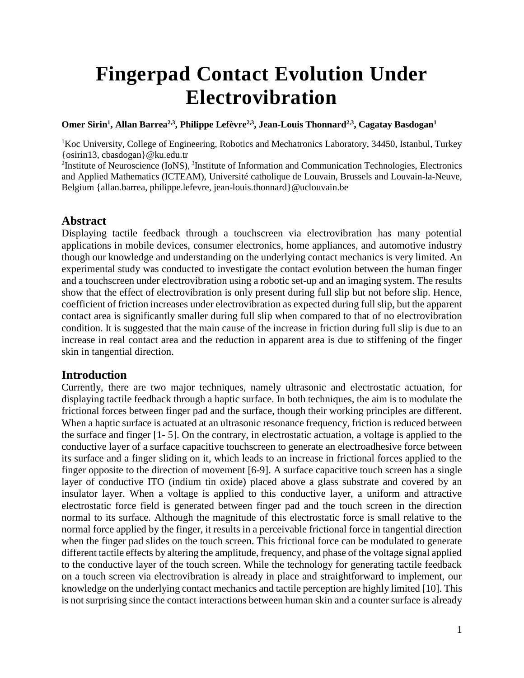# **Fingerpad Contact Evolution Under Electrovibration**

#### **Omer Sirin<sup>1</sup> , Allan Barrea2,3, Philippe Lefèvre2,3, Jean-Louis Thonnard2,3 , Cagatay Basdogan<sup>1</sup>**

<sup>1</sup>Koc University, College of Engineering, Robotics and Mechatronics Laboratory, 34450, Istanbul, Turkey {osirin13, cbasdogan}@ku.edu.tr

<sup>2</sup>Institute of Neuroscience (IoNS), <sup>3</sup>Institute of Information and Communication Technologies, Electronics and Applied Mathematics (ICTEAM), Université catholique de Louvain, Brussels and Louvain-la-Neuve, Belgium {allan.barrea, philippe.lefevre, [jean-louis.thonnard}@uclouvain.be](mailto:jean-louis.thonnard%7d@uclouvain.be)

# **Abstract**

Displaying tactile feedback through a touchscreen via electrovibration has many potential applications in mobile devices, consumer electronics, home appliances, and automotive industry though our knowledge and understanding on the underlying contact mechanics is very limited. An experimental study was conducted to investigate the contact evolution between the human finger and a touchscreen under electrovibration using a robotic set-up and an imaging system. The results show that the effect of electrovibration is only present during full slip but not before slip. Hence, coefficient of friction increases under electrovibration as expected during full slip, but the apparent contact area is significantly smaller during full slip when compared to that of no electrovibration condition. It is suggested that the main cause of the increase in friction during full slip is due to an increase in real contact area and the reduction in apparent area is due to stiffening of the finger skin in tangential direction.

## **Introduction**

Currently, there are two major techniques, namely ultrasonic and electrostatic actuation, for displaying tactile feedback through a haptic surface. In both techniques, the aim is to modulate the frictional forces between finger pad and the surface, though their working principles are different. When a haptic surface is actuated at an ultrasonic resonance frequency, friction is reduced between the surface and finger [1- 5]. On the contrary, in electrostatic actuation, a voltage is applied to the conductive layer of a surface capacitive touchscreen to generate an electroadhesive force between its surface and a finger sliding on it, which leads to an increase in frictional forces applied to the finger opposite to the direction of movement [6-9]. A surface capacitive touch screen has a single layer of conductive ITO (indium tin oxide) placed above a glass substrate and covered by an insulator layer. When a voltage is applied to this conductive layer, a uniform and attractive electrostatic force field is generated between finger pad and the touch screen in the direction normal to its surface. Although the magnitude of this electrostatic force is small relative to the normal force applied by the finger, it results in a perceivable frictional force in tangential direction when the finger pad slides on the touch screen. This frictional force can be modulated to generate different tactile effects by altering the amplitude, frequency, and phase of the voltage signal applied to the conductive layer of the touch screen. While the technology for generating tactile feedback on a touch screen via electrovibration is already in place and straightforward to implement, our knowledge on the underlying contact mechanics and tactile perception are highly limited [10]. This is not surprising since the contact interactions between human skin and a counter surface is already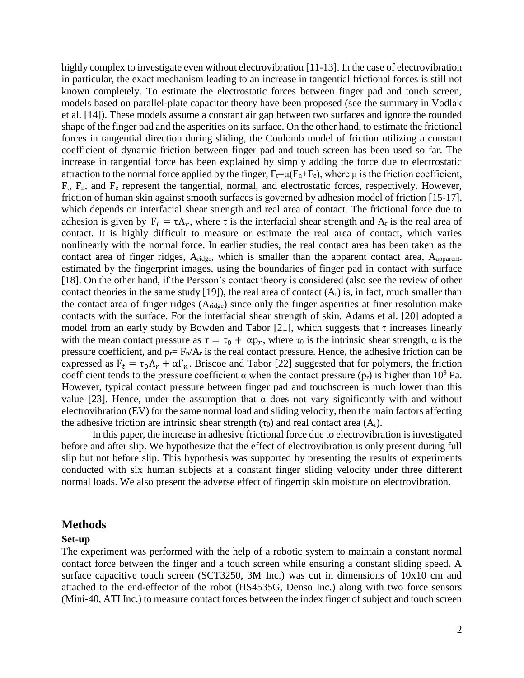highly complex to investigate even without electrovibration [11-13]. In the case of electrovibration in particular, the exact mechanism leading to an increase in tangential frictional forces is still not known completely. To estimate the electrostatic forces between finger pad and touch screen, models based on parallel-plate capacitor theory have been proposed (see the summary in Vodlak et al. [14]). These models assume a constant air gap between two surfaces and ignore the rounded shape of the finger pad and the asperities on its surface. On the other hand, to estimate the frictional forces in tangential direction during sliding, the Coulomb model of friction utilizing a constant coefficient of dynamic friction between finger pad and touch screen has been used so far. The increase in tangential force has been explained by simply adding the force due to electrostatic attraction to the normal force applied by the finger,  $F_t=\mu(F_n+F_e)$ , where  $\mu$  is the friction coefficient, Ft, Fn, and F<sup>e</sup> represent the tangential, normal, and electrostatic forces, respectively. However, friction of human skin against smooth surfaces is governed by adhesion model of friction [15-17], which depends on interfacial shear strength and real area of contact. The frictional force due to adhesion is given by  $F_t = \tau A_r$ , where  $\tau$  is the interfacial shear strength and  $A_r$  is the real area of contact. It is highly difficult to measure or estimate the real area of contact, which varies nonlinearly with the normal force. In earlier studies, the real contact area has been taken as the contact area of finger ridges,  $A_{ridge}$ , which is smaller than the apparent contact area,  $A_{apparent}$ , estimated by the fingerprint images, using the boundaries of finger pad in contact with surface [18]. On the other hand, if the Persson's contact theory is considered (also see the review of other contact theories in the same study [19]), the real area of contact  $(A_r)$  is, in fact, much smaller than the contact area of finger ridges (Aridge) since only the finger asperities at finer resolution make contacts with the surface. For the interfacial shear strength of skin, Adams et al. [20] adopted a model from an early study by Bowden and Tabor [21], which suggests that  $\tau$  increases linearly with the mean contact pressure as  $\tau = \tau_0 + \alpha p_r$ , where  $\tau_0$  is the intrinsic shear strength,  $\alpha$  is the pressure coefficient, and  $p_r = F_n/A_r$  is the real contact pressure. Hence, the adhesive friction can be expressed as  $F_t = \tau_0 A_r + \alpha F_n$ . Briscoe and Tabor [22] suggested that for polymers, the friction coefficient tends to the pressure coefficient  $\alpha$  when the contact pressure ( $p_r$ ) is higher than 10<sup>9</sup> Pa. However, typical contact pressure between finger pad and touchscreen is much lower than this value [23]. Hence, under the assumption that α does not vary significantly with and without electrovibration (EV) for the same normal load and sliding velocity, then the main factors affecting the adhesive friction are intrinsic shear strength  $(\tau_0)$  and real contact area  $(A_r)$ .

In this paper, the increase in adhesive frictional force due to electrovibration is investigated before and after slip. We hypothesize that the effect of electrovibration is only present during full slip but not before slip. This hypothesis was supported by presenting the results of experiments conducted with six human subjects at a constant finger sliding velocity under three different normal loads. We also present the adverse effect of fingertip skin moisture on electrovibration.

#### **Methods**

#### **Set-up**

The experiment was performed with the help of a robotic system to maintain a constant normal contact force between the finger and a touch screen while ensuring a constant sliding speed. A surface capacitive touch screen (SCT3250, 3M Inc.) was cut in dimensions of 10x10 cm and attached to the end-effector of the robot (HS4535G, Denso Inc.) along with two force sensors (Mini-40, ATI Inc.) to measure contact forces between the index finger of subject and touch screen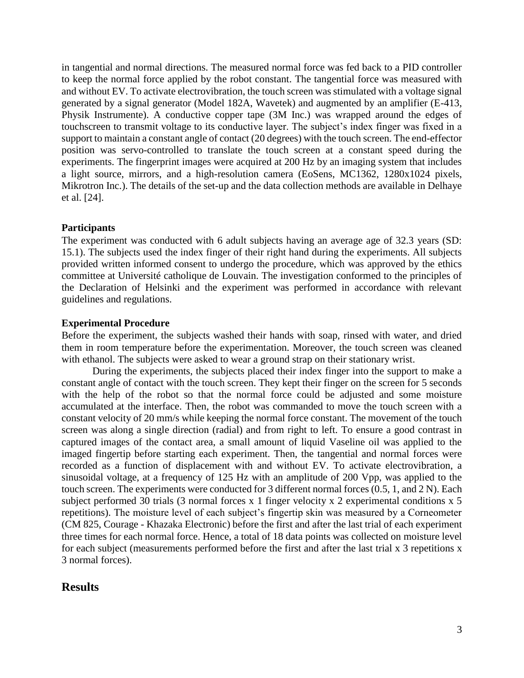in tangential and normal directions. The measured normal force was fed back to a PID controller to keep the normal force applied by the robot constant. The tangential force was measured with and without EV. To activate electrovibration, the touch screen was stimulated with a voltage signal generated by a signal generator (Model 182A, Wavetek) and augmented by an amplifier (E-413, Physik Instrumente). A conductive copper tape (3M Inc.) was wrapped around the edges of touchscreen to transmit voltage to its conductive layer. The subject's index finger was fixed in a support to maintain a constant angle of contact (20 degrees) with the touch screen. The end-effector position was servo-controlled to translate the touch screen at a constant speed during the experiments. The fingerprint images were acquired at 200 Hz by an imaging system that includes a light source, mirrors, and a high-resolution camera (EoSens, MC1362, 1280x1024 pixels, Mikrotron Inc.). The details of the set-up and the data collection methods are available in Delhaye et al. [24].

### **Participants**

The experiment was conducted with 6 adult subjects having an average age of 32.3 years (SD: 15.1). The subjects used the index finger of their right hand during the experiments. All subjects provided written informed consent to undergo the procedure, which was approved by the ethics committee at Université catholique de Louvain. The investigation conformed to the principles of the Declaration of Helsinki and the experiment was performed in accordance with relevant guidelines and regulations.

### **Experimental Procedure**

Before the experiment, the subjects washed their hands with soap, rinsed with water, and dried them in room temperature before the experimentation. Moreover, the touch screen was cleaned with ethanol. The subjects were asked to wear a ground strap on their stationary wrist.

During the experiments, the subjects placed their index finger into the support to make a constant angle of contact with the touch screen. They kept their finger on the screen for 5 seconds with the help of the robot so that the normal force could be adjusted and some moisture accumulated at the interface. Then, the robot was commanded to move the touch screen with a constant velocity of 20 mm/s while keeping the normal force constant. The movement of the touch screen was along a single direction (radial) and from right to left. To ensure a good contrast in captured images of the contact area, a small amount of liquid Vaseline oil was applied to the imaged fingertip before starting each experiment. Then, the tangential and normal forces were recorded as a function of displacement with and without EV. To activate electrovibration, a sinusoidal voltage, at a frequency of 125 Hz with an amplitude of 200 Vpp, was applied to the touch screen. The experiments were conducted for 3 different normal forces (0.5, 1, and 2 N). Each subject performed 30 trials (3 normal forces x 1 finger velocity x 2 experimental conditions x 5 repetitions). The moisture level of each subject's fingertip skin was measured by a Corneometer (CM 825, Courage - Khazaka Electronic) before the first and after the last trial of each experiment three times for each normal force. Hence, a total of 18 data points was collected on moisture level for each subject (measurements performed before the first and after the last trial x 3 repetitions x 3 normal forces).

# **Results**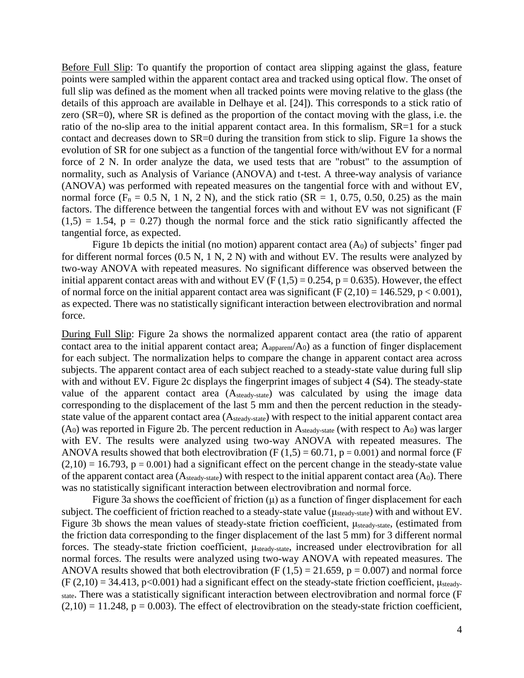Before Full Slip: To quantify the proportion of contact area slipping against the glass, feature points were sampled within the apparent contact area and tracked using optical flow. The onset of full slip was defined as the moment when all tracked points were moving relative to the glass (the details of this approach are available in Delhaye et al. [24]). This corresponds to a stick ratio of zero (SR=0), where SR is defined as the proportion of the contact moving with the glass, i.e. the ratio of the no-slip area to the initial apparent contact area. In this formalism, SR=1 for a stuck contact and decreases down to SR=0 during the transition from stick to slip. Figure 1a shows the evolution of SR for one subject as a function of the tangential force with/without EV for a normal force of 2 N. In order analyze the data, we used tests that are "robust" to the assumption of normality, such as Analysis of Variance (ANOVA) and t-test. A three-way analysis of variance (ANOVA) was performed with repeated measures on the tangential force with and without EV, normal force  $(F_n = 0.5 \text{ N}, 1 \text{ N}, 2 \text{ N})$ , and the stick ratio  $(SR = 1, 0.75, 0.50, 0.25)$  as the main factors. The difference between the tangential forces with and without EV was not significant (F  $(1,5) = 1.54$ ,  $p = 0.27$ ) though the normal force and the stick ratio significantly affected the tangential force, as expected.

Figure 1b depicts the initial (no motion) apparent contact area  $(A<sub>0</sub>)$  of subjects' finger pad for different normal forces (0.5 N, 1 N, 2 N) with and without EV. The results were analyzed by two-way ANOVA with repeated measures. No significant difference was observed between the initial apparent contact areas with and without EV ( $F(1,5) = 0.254$ ,  $p = 0.635$ ). However, the effect of normal force on the initial apparent contact area was significant ( $F(2,10) = 146.529$ ,  $p < 0.001$ ), as expected. There was no statistically significant interaction between electrovibration and normal force.

During Full Slip: Figure 2a shows the normalized apparent contact area (the ratio of apparent contact area to the initial apparent contact area;  $A_{apparent}/A_0$ ) as a function of finger displacement for each subject. The normalization helps to compare the change in apparent contact area across subjects. The apparent contact area of each subject reached to a steady-state value during full slip with and without EV. Figure 2c displays the fingerprint images of subject 4 (S4). The steady-state value of the apparent contact area (Asteady-state) was calculated by using the image data corresponding to the displacement of the last 5 mm and then the percent reduction in the steadystate value of the apparent contact area (Asteady-state) with respect to the initial apparent contact area  $(A<sub>0</sub>)$  was reported in Figure 2b. The percent reduction in  $A<sub>steady-state</sub>$  (with respect to  $A<sub>0</sub>$ ) was larger with EV. The results were analyzed using two-way ANOVA with repeated measures. The ANOVA results showed that both electrovibration (F  $(1,5) = 60.71$ , p = 0.001) and normal force (F  $(2,10) = 16.793$ ,  $p = 0.001$ ) had a significant effect on the percent change in the steady-state value of the apparent contact area  $(A_{\text{steady-state}})$  with respect to the initial apparent contact area  $(A_0)$ . There was no statistically significant interaction between electrovibration and normal force.

Figure 3a shows the coefficient of friction  $(\mu)$  as a function of finger displacement for each subject. The coefficient of friction reached to a steady-state value (μsteady-state) with and without EV. Figure 3b shows the mean values of steady-state friction coefficient, μsteady-state, (estimated from the friction data corresponding to the finger displacement of the last 5 mm) for 3 different normal forces. The steady-state friction coefficient, μsteady-state, increased under electrovibration for all normal forces. The results were analyzed using two-way ANOVA with repeated measures. The ANOVA results showed that both electrovibration (F  $(1,5) = 21.659$ , p = 0.007) and normal force  $(F (2,10) = 34.413, p<0.001)$  had a significant effect on the steady-state friction coefficient,  $\mu_{\text{steady}}$ state. There was a statistically significant interaction between electrovibration and normal force (F  $(2,10) = 11.248$ ,  $p = 0.003$ ). The effect of electrovibration on the steady-state friction coefficient,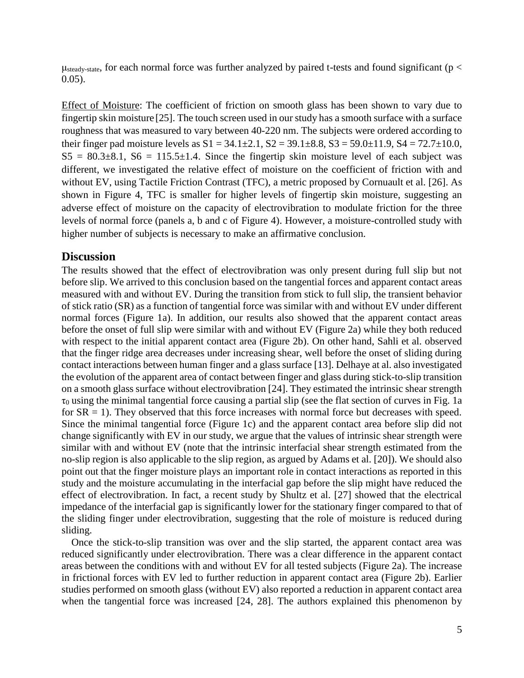$\mu_{\text{steady-state}}$ , for each normal force was further analyzed by paired t-tests and found significant (p < 0.05).

Effect of Moisture: The coefficient of friction on smooth glass has been shown to vary due to fingertip skin moisture [25]. The touch screen used in our study has a smooth surface with a surface roughness that was measured to vary between 40-220 nm. The subjects were ordered according to their finger pad moisture levels as  $S1 = 34.1 \pm 2.1$ ,  $S2 = 39.1 \pm 8.8$ ,  $S3 = 59.0 \pm 11.9$ ,  $S4 = 72.7 \pm 10.0$ ,  $S5 = 80.3 \pm 8.1$ ,  $S6 = 115.5 \pm 1.4$ . Since the fingertip skin moisture level of each subject was different, we investigated the relative effect of moisture on the coefficient of friction with and without EV, using Tactile Friction Contrast (TFC), a metric proposed by Cornuault et al. [26]. As shown in Figure 4, TFC is smaller for higher levels of fingertip skin moisture, suggesting an adverse effect of moisture on the capacity of electrovibration to modulate friction for the three levels of normal force (panels a, b and c of Figure 4). However, a moisture-controlled study with higher number of subjects is necessary to make an affirmative conclusion.

## **Discussion**

The results showed that the effect of electrovibration was only present during full slip but not before slip. We arrived to this conclusion based on the tangential forces and apparent contact areas measured with and without EV. During the transition from stick to full slip, the transient behavior of stick ratio (SR) as a function of tangential force was similar with and without EV under different normal forces (Figure 1a). In addition, our results also showed that the apparent contact areas before the onset of full slip were similar with and without EV (Figure 2a) while they both reduced with respect to the initial apparent contact area (Figure 2b). On other hand, Sahli et al. observed that the finger ridge area decreases under increasing shear, well before the onset of sliding during contact interactions between human finger and a glass surface [13]. Delhaye at al. also investigated the evolution of the apparent area of contact between finger and glass during stick-to-slip transition on a smooth glass surface without electrovibration [24]. They estimated the intrinsic shear strength  $\tau_0$  using the minimal tangential force causing a partial slip (see the flat section of curves in Fig. 1a for  $SR = 1$ ). They observed that this force increases with normal force but decreases with speed. Since the minimal tangential force (Figure 1c) and the apparent contact area before slip did not change significantly with EV in our study, we argue that the values of intrinsic shear strength were similar with and without EV (note that the intrinsic interfacial shear strength estimated from the no-slip region is also applicable to the slip region, as argued by Adams et al. [20]). We should also point out that the finger moisture plays an important role in contact interactions as reported in this study and the moisture accumulating in the interfacial gap before the slip might have reduced the effect of electrovibration. In fact, a recent study by Shultz et al. [27] showed that the electrical impedance of the interfacial gap is significantly lower for the stationary finger compared to that of the sliding finger under electrovibration, suggesting that the role of moisture is reduced during sliding.

Once the stick-to-slip transition was over and the slip started, the apparent contact area was reduced significantly under electrovibration. There was a clear difference in the apparent contact areas between the conditions with and without EV for all tested subjects (Figure 2a). The increase in frictional forces with EV led to further reduction in apparent contact area (Figure 2b). Earlier studies performed on smooth glass (without EV) also reported a reduction in apparent contact area when the tangential force was increased [24, 28]. The authors explained this phenomenon by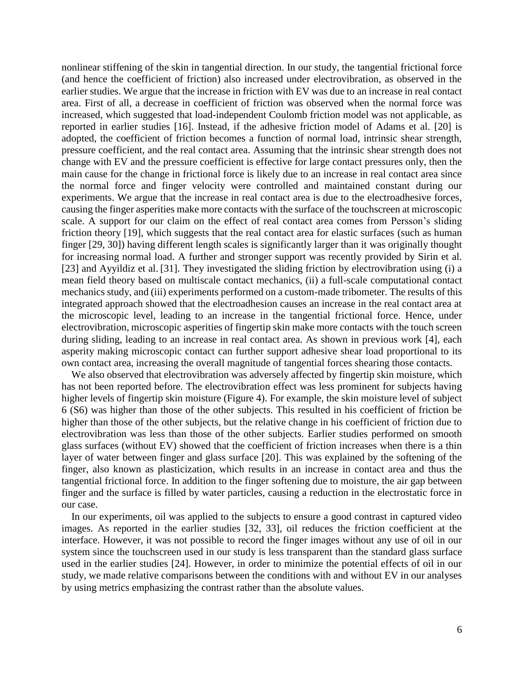nonlinear stiffening of the skin in tangential direction. In our study, the tangential frictional force (and hence the coefficient of friction) also increased under electrovibration, as observed in the earlier studies. We argue that the increase in friction with EV was due to an increase in real contact area. First of all, a decrease in coefficient of friction was observed when the normal force was increased, which suggested that load-independent Coulomb friction model was not applicable, as reported in earlier studies [16]. Instead, if the adhesive friction model of Adams et al. [20] is adopted, the coefficient of friction becomes a function of normal load, intrinsic shear strength, pressure coefficient, and the real contact area. Assuming that the intrinsic shear strength does not change with EV and the pressure coefficient is effective for large contact pressures only, then the main cause for the change in frictional force is likely due to an increase in real contact area since the normal force and finger velocity were controlled and maintained constant during our experiments. We argue that the increase in real contact area is due to the electroadhesive forces, causing the finger asperities make more contacts with the surface of the touchscreen at microscopic scale. A support for our claim on the effect of real contact area comes from Persson's sliding friction theory [19], which suggests that the real contact area for elastic surfaces (such as human finger [29, 30]) having different length scales is significantly larger than it was originally thought for increasing normal load. A further and stronger support was recently provided by Sirin et al. [23] and Ayyildiz et al. [31]. They investigated the sliding friction by electrovibration using (i) a mean field theory based on multiscale contact mechanics, (ii) a full-scale computational contact mechanics study, and (iii) experiments performed on a custom-made tribometer. The results of this integrated approach showed that the electroadhesion causes an increase in the real contact area at the microscopic level, leading to an increase in the tangential frictional force. Hence, under electrovibration, microscopic asperities of fingertip skin make more contacts with the touch screen during sliding, leading to an increase in real contact area. As shown in previous work [4], each asperity making microscopic contact can further support adhesive shear load proportional to its own contact area, increasing the overall magnitude of tangential forces shearing those contacts.

We also observed that electrovibration was adversely affected by fingertip skin moisture, which has not been reported before. The electrovibration effect was less prominent for subjects having higher levels of fingertip skin moisture (Figure 4). For example, the skin moisture level of subject 6 (S6) was higher than those of the other subjects. This resulted in his coefficient of friction be higher than those of the other subjects, but the relative change in his coefficient of friction due to electrovibration was less than those of the other subjects. Earlier studies performed on smooth glass surfaces (without EV) showed that the coefficient of friction increases when there is a thin layer of water between finger and glass surface [20]. This was explained by the softening of the finger, also known as plasticization, which results in an increase in contact area and thus the tangential frictional force. In addition to the finger softening due to moisture, the air gap between finger and the surface is filled by water particles, causing a reduction in the electrostatic force in our case.

In our experiments, oil was applied to the subjects to ensure a good contrast in captured video images. As reported in the earlier studies [32, 33], oil reduces the friction coefficient at the interface. However, it was not possible to record the finger images without any use of oil in our system since the touchscreen used in our study is less transparent than the standard glass surface used in the earlier studies [24]. However, in order to minimize the potential effects of oil in our study, we made relative comparisons between the conditions with and without EV in our analyses by using metrics emphasizing the contrast rather than the absolute values.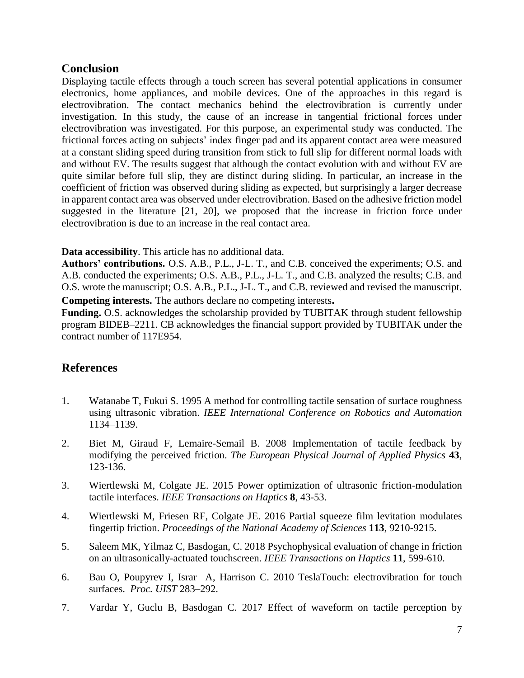## **Conclusion**

Displaying tactile effects through a touch screen has several potential applications in consumer electronics, home appliances, and mobile devices. One of the approaches in this regard is electrovibration. The contact mechanics behind the electrovibration is currently under investigation. In this study, the cause of an increase in tangential frictional forces under electrovibration was investigated. For this purpose, an experimental study was conducted. The frictional forces acting on subjects' index finger pad and its apparent contact area were measured at a constant sliding speed during transition from stick to full slip for different normal loads with and without EV. The results suggest that although the contact evolution with and without EV are quite similar before full slip, they are distinct during sliding. In particular, an increase in the coefficient of friction was observed during sliding as expected, but surprisingly a larger decrease in apparent contact area was observed under electrovibration. Based on the adhesive friction model suggested in the literature [21, 20], we proposed that the increase in friction force under electrovibration is due to an increase in the real contact area.

### **Data accessibility**. This article has no additional data.

**Authors' contributions.** O.S. A.B., P.L., J-L. T., and C.B. conceived the experiments; O.S. and A.B. conducted the experiments; O.S. A.B., P.L., J-L. T., and C.B. analyzed the results; C.B. and O.S. wrote the manuscript; O.S. A.B., P.L., J-L. T., and C.B. reviewed and revised the manuscript.

**Competing interests.** The authors declare no competing interests**.** 

**Funding.** O.S. acknowledges the scholarship provided by TUBITAK through student fellowship program BIDEB–2211. CB acknowledges the financial support provided by TUBITAK under the contract number of 117E954.

# **References**

- 1. Watanabe T, Fukui S. 1995 A method for controlling tactile sensation of surface roughness using ultrasonic vibration. *IEEE International Conference on Robotics and Automation* 1134–1139.
- 2. Biet M, Giraud F, Lemaire-Semail B. 2008 Implementation of tactile feedback by modifying the perceived friction. *The European Physical Journal of Applied Physics* **43**, 123-136.
- 3. Wiertlewski M, Colgate JE. 2015 Power optimization of ultrasonic friction-modulation tactile interfaces. *IEEE Transactions on Haptics* **8**, 43-53.
- 4. Wiertlewski M, Friesen RF, Colgate JE. 2016 Partial squeeze film levitation modulates fingertip friction. *Proceedings of the National Academy of Sciences* **113**, 9210-9215.
- 5. Saleem MK, Yilmaz C, Basdogan, C. 2018 Psychophysical evaluation of change in friction on an ultrasonically-actuated touchscreen. *IEEE Transactions on Haptics* **11**, 599-610.
- 6. Bau O, Poupyrev I, Israr A, Harrison C. 2010 TeslaTouch: electrovibration for touch surfaces. *Proc. UIST* 283–292.
- 7. Vardar Y, Guclu B, Basdogan C. 2017 Effect of waveform on tactile perception by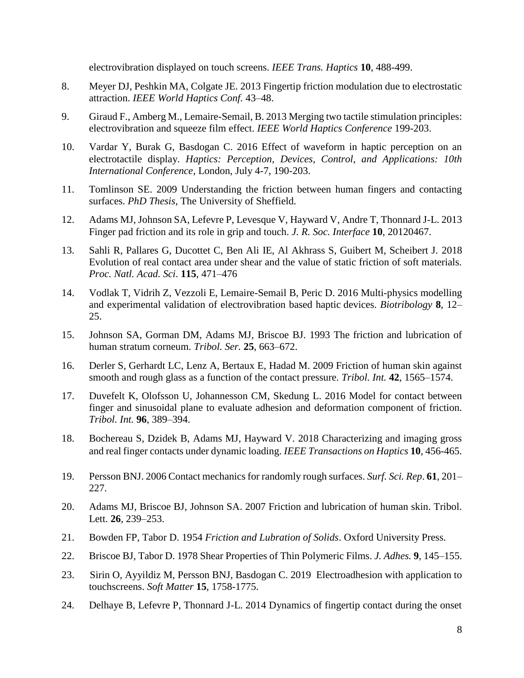electrovibration displayed on touch screens. *IEEE Trans. Haptics* **10**, 488-499.

- 8. Meyer DJ, Peshkin MA, Colgate JE. 2013 Fingertip friction modulation due to electrostatic attraction. *IEEE World Haptics Conf.* 43–48.
- 9. Giraud F., Amberg M., Lemaire-Semail, B. 2013 Merging two tactile stimulation principles: electrovibration and squeeze film effect. *IEEE World Haptics Conference* 199-203.
- 10. Vardar Y, Burak G, Basdogan C. 2016 Effect of waveform in haptic perception on an electrotactile display. *Haptics: Perception, Devices, Control, and Applications: 10th International Conference*, London, July 4-7, 190-203.
- 11. Tomlinson SE. 2009 Understanding the friction between human fingers and contacting surfaces. *PhD Thesis*, The University of Sheffield.
- 12. Adams MJ, Johnson SA, Lefevre P, Levesque V, Hayward V, Andre T, Thonnard J-L. 2013 Finger pad friction and its role in grip and touch. *J. R. Soc. Interface* **10**, 20120467.
- 13. Sahli R, Pallares G, Ducottet C, Ben Ali IE, Al Akhrass S, Guibert M, Scheibert J. 2018 Evolution of real contact area under shear and the value of static friction of soft materials. *Proc. Natl. Acad. Sci*. **115**, 471–476
- 14. Vodlak T, Vidrih Z, Vezzoli E, Lemaire-Semail B, Peric D. 2016 Multi-physics modelling and experimental validation of electrovibration based haptic devices. *Biotribology* **8**, 12– 25.
- 15. Johnson SA, Gorman DM, Adams MJ, Briscoe BJ. 1993 The friction and lubrication of human stratum corneum. *Tribol. Ser.* **25**, 663–672.
- 16. Derler S, Gerhardt LC, Lenz A, Bertaux E, Hadad M. 2009 Friction of human skin against smooth and rough glass as a function of the contact pressure. *Tribol. Int.* **42**, 1565–1574.
- 17. Duvefelt K, Olofsson U, Johannesson CM, Skedung L. 2016 Model for contact between finger and sinusoidal plane to evaluate adhesion and deformation component of friction. *Tribol. Int.* **96**, 389–394.
- 18. Bochereau S, Dzidek B, Adams MJ, Hayward V. 2018 Characterizing and imaging gross and real finger contacts under dynamic loading. *IEEE Transactions on Haptics* **10**, 456-465.
- 19. Persson BNJ. 2006 Contact mechanics for randomly rough surfaces. *Surf. Sci. Rep*. **61**, 201– 227.
- 20. Adams MJ, Briscoe BJ, Johnson SA. 2007 Friction and lubrication of human skin. Tribol. Lett. **26**, 239–253.
- 21. Bowden FP, Tabor D. 1954 *Friction and Lubration of Solids*. Oxford University Press.
- 22. Briscoe BJ, Tabor D. 1978 Shear Properties of Thin Polymeric Films. *J. Adhes.* **9**, 145–155.
- 23. Sirin O, Ayyildiz M, Persson BNJ, Basdogan C. 2019 Electroadhesion with application to touchscreens. *Soft Matter* **15**, 1758-1775.
- 24. Delhaye B, Lefevre P, Thonnard J-L. 2014 Dynamics of fingertip contact during the onset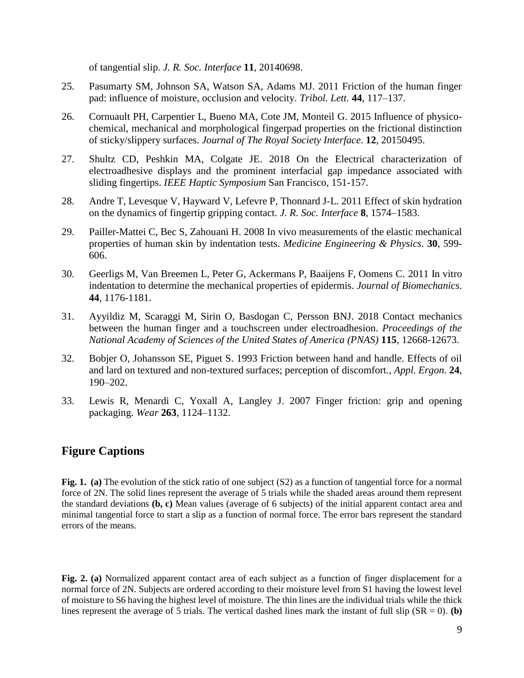of tangential slip. *J. R. Soc. Interface* **11**, 20140698.

- 25. Pasumarty SM, Johnson SA, Watson SA, Adams MJ. 2011 Friction of the human finger pad: influence of moisture, occlusion and velocity. *Tribol. Lett.* **44**, 117–137.
- 26. Cornuault PH, Carpentier L, Bueno MA, Cote JM, Monteil G. 2015 Influence of physicochemical, mechanical and morphological fingerpad properties on the frictional distinction of sticky/slippery surfaces. *Journal of The Royal Society Interface*. **12**, 20150495.
- 27. Shultz CD, Peshkin MA, Colgate JE. 2018 On the Electrical characterization of electroadhesive displays and the prominent interfacial gap impedance associated with sliding fingertips. *IEEE Haptic Symposium* San Francisco, 151-157.
- 28. Andre T, Levesque V, Hayward V, Lefevre P, Thonnard J-L. 2011 Effect of skin hydration on the dynamics of fingertip gripping contact. *J. R. Soc. Interface* **8**, 1574–1583.
- 29. Pailler-Mattei C, Bec S, Zahouani H. 2008 In vivo measurements of the elastic mechanical properties of human skin by indentation tests. *Medicine Engineering & Physics*. **30**, 599- 606.
- 30. Geerligs M, Van Breemen L, Peter G, Ackermans P, Baaijens F, Oomens C. 2011 In vitro indentation to determine the mechanical properties of epidermis. *Journal of Biomechanics*. **44**, 1176-1181.
- 31. Ayyildiz M, Scaraggi M, Sirin O, Basdogan C, Persson BNJ. 2018 Contact mechanics between the human finger and a touchscreen under electroadhesion. *Proceedings of the National Academy of Sciences of the United States of America (PNAS)* **115**, 12668-12673.
- 32. Bobjer O, Johansson SE, Piguet S. 1993 Friction between hand and handle. Effects of oil and lard on textured and non-textured surfaces; perception of discomfort., *Appl. Ergon.* **24**, 190–202.
- 33. Lewis R, Menardi C, Yoxall A, Langley J. 2007 Finger friction: grip and opening packaging. *Wear* **263**, 1124–1132.

# **Figure Captions**

**Fig. 1. (a)** The evolution of the stick ratio of one subject (S2) as a function of tangential force for a normal force of 2N. The solid lines represent the average of 5 trials while the shaded areas around them represent the standard deviations **(b, c)** Mean values (average of 6 subjects) of the initial apparent contact area and minimal tangential force to start a slip as a function of normal force. The error bars represent the standard errors of the means.

**Fig. 2. (a)** Normalized apparent contact area of each subject as a function of finger displacement for a normal force of 2N. Subjects are ordered according to their moisture level from S1 having the lowest level of moisture to S6 having the highest level of moisture. The thin lines are the individual trials while the thick lines represent the average of 5 trials. The vertical dashed lines mark the instant of full slip  $(SR = 0)$ . **(b)**